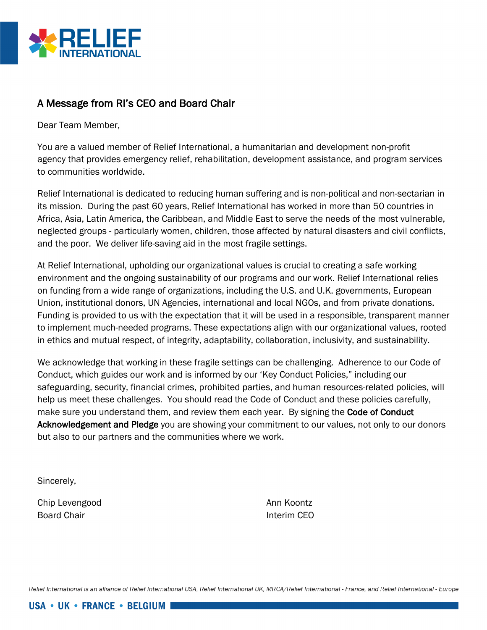

## A Message from RI's CEO and Board Chair

Dear Team Member,

You are a valued member of Relief International, a humanitarian and development non-profit agency that provides emergency relief, rehabilitation, development assistance, and program services to communities worldwide.

Relief International is dedicated to reducing human suffering and is non-political and non-sectarian in its mission. During the past 60 years, Relief International has worked in more than 50 countries in Africa, Asia, Latin America, the Caribbean, and Middle East to serve the needs of the most vulnerable, neglected groups - particularly women, children, those affected by natural disasters and civil conflicts, and the poor. We deliver life-saving aid in the most fragile settings.

At Relief International, upholding our organizational values is crucial to creating a safe working environment and the ongoing sustainability of our programs and our work. Relief International relies on funding from a wide range of organizations, including the U.S. and U.K. governments, European Union, institutional donors, UN Agencies, international and local NGOs, and from private donations. Funding is provided to us with the expectation that it will be used in a responsible, transparent manner to implement much-needed programs. These expectations align with our organizational values, rooted in ethics and mutual respect, of integrity, adaptability, collaboration, inclusivity, and sustainability.

We acknowledge that working in these fragile settings can be challenging. Adherence to our Code of Conduct, which guides our work and is informed by our 'Key Conduct Policies," including our safeguarding, security, financial crimes, prohibited parties, and human resources-related policies, will help us meet these challenges. You should read the Code of Conduct and these policies carefully, make sure you understand them, and review them each year. By signing the Code of Conduct Acknowledgement and Pledge you are showing your commitment to our values, not only to our donors but also to our partners and the communities where we work.

Sincerely,

Chip Levengood and Ann Koontz Board Chair **Interim CEO** 

Relief International is an alliance of Relief International USA, Relief International UK, MRCA/Relief International - France, and Relief International - Europe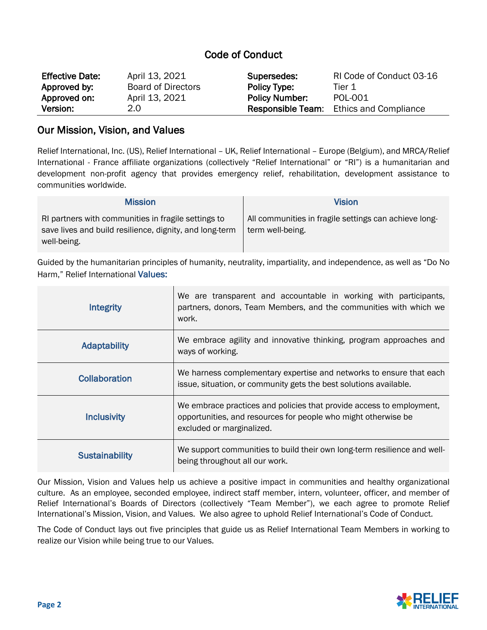## Code of Conduct

| <b>Effective Date:</b> | April 13, 2021            | Supersedes:              | RI Code of Conduct 03-16     |
|------------------------|---------------------------|--------------------------|------------------------------|
| Approved by:           | <b>Board of Directors</b> | Policy Type:             | Tier 1                       |
| Approved on:           | April 13, 2021            | <b>Policy Number:</b>    | POL-001                      |
| Version:               | 2.0                       | <b>Responsible Team:</b> | <b>Ethics and Compliance</b> |

## Our Mission, Vision, and Values

Relief International, Inc. (US), Relief International – UK, Relief International – Europe (Belgium), and MRCA/Relief International - France affiliate organizations (collectively "Relief International" or "RI") is a humanitarian and development non-profit agency that provides emergency relief, rehabilitation, development assistance to communities worldwide.

| <b>Mission</b>                                                                                                                | Vision                                                                    |
|-------------------------------------------------------------------------------------------------------------------------------|---------------------------------------------------------------------------|
| RI partners with communities in fragile settings to<br>save lives and build resilience, dignity, and long-term<br>well-being. | All communities in fragile settings can achieve long-<br>term well-being. |

Guided by the humanitarian principles of humanity, neutrality, impartiality, and independence, as well as "Do No Harm," Relief International Values:

| <b>Integrity</b>      | We are transparent and accountable in working with participants,<br>partners, donors, Team Members, and the communities with which we<br>work.                      |
|-----------------------|---------------------------------------------------------------------------------------------------------------------------------------------------------------------|
| <b>Adaptability</b>   | We embrace agility and innovative thinking, program approaches and<br>ways of working.                                                                              |
| <b>Collaboration</b>  | We harness complementary expertise and networks to ensure that each<br>issue, situation, or community gets the best solutions available.                            |
| <b>Inclusivity</b>    | We embrace practices and policies that provide access to employment,<br>opportunities, and resources for people who might otherwise be<br>excluded or marginalized. |
| <b>Sustainability</b> | We support communities to build their own long-term resilience and well-<br>being throughout all our work.                                                          |

Our Mission, Vision and Values help us achieve a positive impact in communities and healthy organizational culture. As an employee, seconded employee, indirect staff member, intern, volunteer, officer, and member of Relief International's Boards of Directors (collectively "Team Member"), we each agree to promote Relief International's Mission, Vision, and Values. We also agree to uphold Relief International's Code of Conduct.

The Code of Conduct lays out five principles that guide us as Relief International Team Members in working to realize our Vision while being true to our Values.

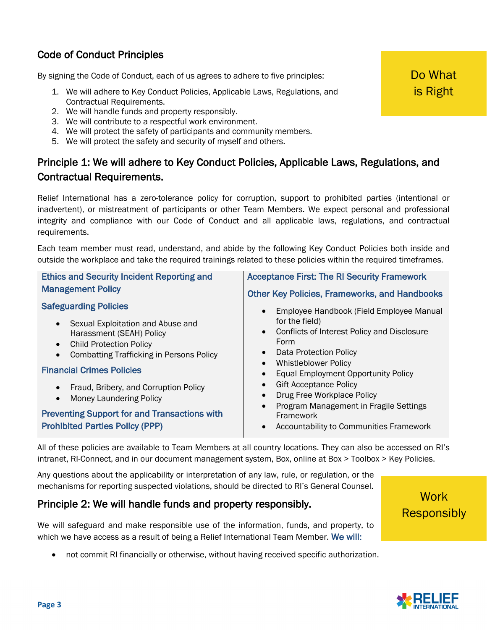# Code of Conduct Principles

By signing the Code of Conduct, each of us agrees to adhere to five principles:

- 1. We will adhere to Key Conduct Policies, Applicable Laws, Regulations, and Contractual Requirements.
- 2. We will handle funds and property responsibly.
- 3. We will contribute to a respectful work environment.
- 4. We will protect the safety of participants and community members.
- 5. We will protect the safety and security of myself and others.

# Principle 1: We will adhere to Key Conduct Policies, Applicable Laws, Regulations, and Contractual Requirements.

Relief International has a zero-tolerance policy for corruption, support to prohibited parties (intentional or inadvertent), or mistreatment of participants or other Team Members. We expect personal and professional integrity and compliance with our Code of Conduct and all applicable laws, regulations, and contractual requirements.

Each team member must read, understand, and abide by the following Key Conduct Policies both inside and outside the workplace and take the required trainings related to these policies within the required timeframes.

| <b>Ethics and Security Incident Reporting and</b>                                                                                                                 | <b>Acceptance First: The RI Security Framework</b>                                                                                                                                 |
|-------------------------------------------------------------------------------------------------------------------------------------------------------------------|------------------------------------------------------------------------------------------------------------------------------------------------------------------------------------|
| <b>Management Policy</b>                                                                                                                                          | <b>Other Key Policies, Frameworks, and Handbooks</b>                                                                                                                               |
| <b>Safeguarding Policies</b>                                                                                                                                      | Employee Handbook (Field Employee Manual                                                                                                                                           |
| • Sexual Exploitation and Abuse and<br>Harassment (SEAH) Policy<br><b>Child Protection Policy</b><br>$\bullet$<br><b>Combatting Trafficking in Persons Policy</b> | for the field)<br>Conflicts of Interest Policy and Disclosure<br>Form<br>Data Protection Policy<br><b>Whistleblower Policy</b><br>$\bullet$<br>Equal Employment Opportunity Policy |
| <b>Financial Crimes Policies</b>                                                                                                                                  |                                                                                                                                                                                    |
| Fraud, Bribery, and Corruption Policy<br>$\bullet$<br><b>Money Laundering Policy</b><br>$\bullet$                                                                 | <b>Gift Acceptance Policy</b><br>Drug Free Workplace Policy<br>$\bullet$<br>Program Management in Fragile Settings                                                                 |
| <b>Preventing Support for and Transactions with</b><br><b>Prohibited Parties Policy (PPP)</b>                                                                     | Framework<br>Accountability to Communities Framework<br>$\bullet$                                                                                                                  |

All of these policies are available to Team Members at all country locations. They can also be accessed on RI's intranet, RI-Connect, and in our document management system, Box, online at Box > Toolbox > Key Policies.

Any questions about the applicability or interpretation of any law, rule, or regulation, or the mechanisms for reporting suspected violations, should be directed to RI's General Counsel.

## Principle 2: We will handle funds and property responsibly.

We will safeguard and make responsible use of the information, funds, and property, to which we have access as a result of being a Relief International Team Member. We will:

• not commit RI financially or otherwise, without having received specific authorization.

**Work Responsibly** 

Do What is Right

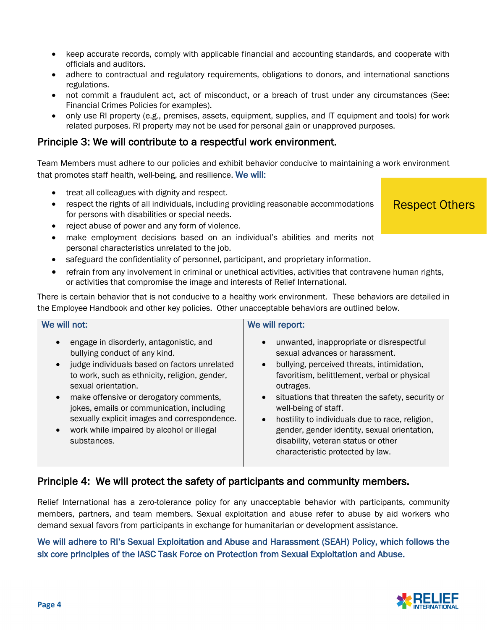- keep accurate records, comply with applicable financial and accounting standards, and cooperate with officials and auditors.
- adhere to contractual and regulatory requirements, obligations to donors, and international sanctions regulations.
- not commit a fraudulent act, act of misconduct, or a breach of trust under any circumstances (See: Financial Crimes Policies for examples).
- only use RI property (e.g., premises, assets, equipment, supplies, and IT equipment and tools) for work related purposes. RI property may not be used for personal gain or unapproved purposes.

## Principle 3: We will contribute to a respectful work environment.

Team Members must adhere to our policies and exhibit behavior conducive to maintaining a work environment that promotes staff health, well-being, and resilience. We will:

- treat all colleagues with dignity and respect.
- respect the rights of all individuals, including providing reasonable accommodations for persons with disabilities or special needs.
- reject abuse of power and any form of violence.
- make employment decisions based on an individual's abilities and merits not personal characteristics unrelated to the job.
- safeguard the confidentiality of personnel, participant, and proprietary information.
- refrain from any involvement in criminal or unethical activities, activities that contravene human rights, or activities that compromise the image and interests of Relief International.

There is certain behavior that is not conducive to a healthy work environment. These behaviors are detailed in the Employee Handbook and other key policies. Other unacceptable behaviors are outlined below.

#### We will not:

- engage in disorderly, antagonistic, and bullying conduct of any kind.
- judge individuals based on factors unrelated to work, such as ethnicity, religion, gender, sexual orientation.
- make offensive or derogatory comments, jokes, emails or communication, including sexually explicit images and correspondence.
- work while impaired by alcohol or illegal substances.

#### We will report:

- unwanted, inappropriate or disrespectful sexual advances or harassment.
- bullying, perceived threats, intimidation, favoritism, belittlement, verbal or physical outrages.
- situations that threaten the safety, security or well-being of staff.
- hostility to individuals due to race, religion, gender, gender identity, sexual orientation, disability, veteran status or other characteristic protected by law.

## Principle 4: We will protect the safety of participants and community members.

Relief International has a zero-tolerance policy for any unacceptable behavior with participants, community members, partners, and team members. Sexual exploitation and abuse refer to abuse by aid workers who demand sexual favors from participants in exchange for humanitarian or development assistance.

#### We will adhere to RI's Sexual Exploitation and Abuse and Harassment (SEAH) Policy, which follows the six core principles of the IASC Task Force on Protection from Sexual Exploitation and Abuse.



## Respect Others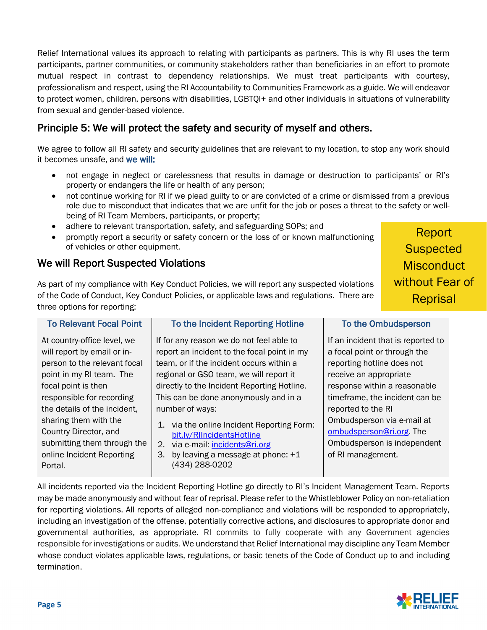Relief International values its approach to relating with participants as partners. This is why RI uses the term participants, partner communities, or community stakeholders rather than beneficiaries in an effort to promote mutual respect in contrast to dependency relationships. We must treat participants with courtesy, professionalism and respect, using the RI Accountability to Communities Framework as a guide. We will endeavor to protect women, children, persons with disabilities, LGBTQI+ and other individuals in situations of vulnerability from sexual and gender-based violence.

# Principle 5: We will protect the safety and security of myself and others.

We agree to follow all RI safety and security guidelines that are relevant to my location, to stop any work should it becomes unsafe, and we will:

- not engage in neglect or carelessness that results in damage or destruction to participants' or RI's property or endangers the life or health of any person;
- not continue working for RI if we plead guilty to or are convicted of a crime or dismissed from a previous role due to misconduct that indicates that we are unfit for the job or poses a threat to the safety or wellbeing of RI Team Members, participants, or property;
- adhere to relevant transportation, safety, and safeguarding SOPs; and
- promptly report a security or safety concern or the loss of or known malfunctioning of vehicles or other equipment.

## We will Report Suspected Violations

As part of my compliance with Key Conduct Policies, we will report any suspected violations of the Code of Conduct, Key Conduct Policies, or applicable laws and regulations. There are three options for reporting:

#### To Relevant Focal Point

At country-office level, we will report by email or inperson to the relevant focal point in my RI team. The focal point is then responsible for recording the details of the incident, sharing them with the Country Director, and submitting them through the online Incident Reporting Portal.

#### To the Incident Reporting Hotline

If for any reason we do not feel able to report an incident to the focal point in my team, or if the incident occurs within a regional or GSO team, we will report it directly to the Incident Reporting Hotline. This can be done anonymously and in a number of ways:

- 1. via the online Incident Reporting Form: bit.ly/RIIncidentsHotline
- 2. via e-mail: incidents@ri.org
- 3. by leaving a message at phone: +1 (434) 288-0202

#### To the Ombudsperson

Report

**Suspected** 

**Misconduct** 

without Fear of

Reprisal

If an incident that is reported to a focal point or through the reporting hotline does not receive an appropriate response within a reasonable timeframe, the incident can be reported to the RI Ombudsperson via e-mail at ombudsperson@ri.org. The Ombudsperson is independent of RI management.

All incidents reported via the Incident Reporting Hotline go directly to RI's Incident Management Team. Reports may be made anonymously and without fear of reprisal. Please refer to the Whistleblower Policy on non-retaliation for reporting violations. All reports of alleged non-compliance and violations will be responded to appropriately, including an investigation of the offense, potentially corrective actions, and disclosures to appropriate donor and governmental authorities, as appropriate. RI commits to fully cooperate with any Government agencies responsible for investigations or audits. We understand that Relief International may discipline any Team Member whose conduct violates applicable laws, regulations, or basic tenets of the Code of Conduct up to and including termination.